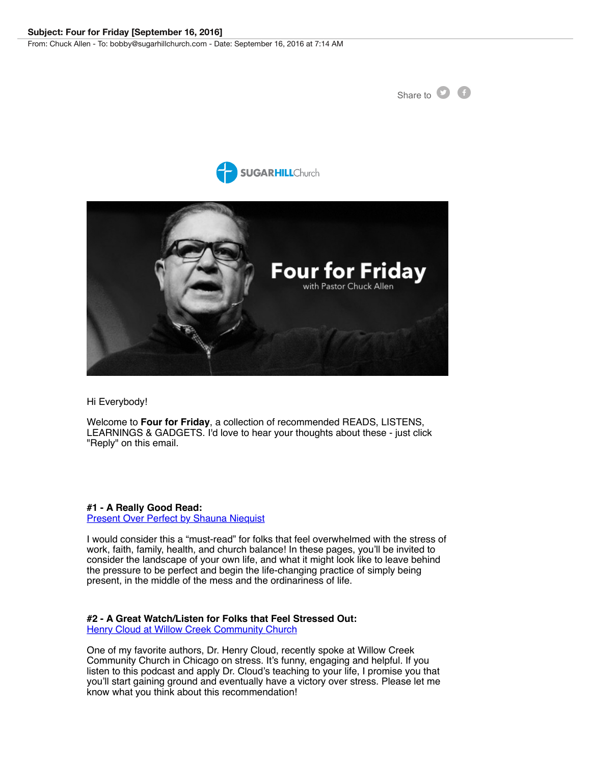





Hi Everybody!

Welcome to **Four for Friday**, a collection of recommended READS, LISTENS, LEARNINGS & GADGETS. I'd love to hear your thoughts about these - just click "Reply" on this email.

**#1 - A Really Good Read:** 

[Present Over Perfect by Shauna Niequist](http://link2.bblink.co/bbext/?p=link&id=73396a5f-518a-35a0-3beb-dc767ee400bd&c=73d39dbd-ca1b-4eaa-2d83-4e384f49dbb8&cid=3C9F0FA6F6D00C91E0530100007F7912&dst=TU1VUTc3S3dyZkVBZ0JYY3k0TkFjQUJnUDl1K0JnPT0%3D&eml=%25to_email%25)

I would consider this a "must-read" for folks that feel overwhelmed with the stress of work, faith, family, health, and church balance! In these pages, you'll be invited to consider the landscape of your own life, and what it might look like to leave behind the pressure to be perfect and begin the life-changing practice of simply being present, in the middle of the mess and the ordinariness of life.

## **#2 - A Great Watch/Listen for Folks that Feel Stressed Out:**

**[Henry Cloud at Willow Creek Community Church](http://link2.bblink.co/bbext/?p=link&id=b5d2dff3-9dd5-e8b4-34e8-4aa318f621b4&c=73d39dbd-ca1b-4eaa-2d83-4e384f49dbb8&cid=3C9F0FA6F6D00C91E0530100007F7912&dst=TU1VUTcvdWxyYjhha3hlZTBKc01NQVovSGIyT0p4b1BGbGFZenlyT3Jhc0JNM3dHei9SOXJsVVlxcjhLLzVPM1NLcTZPUThZT1lVM2U3VW9NVHdpQlFaU2pQWm1UWkZseFJNR1FRPT0%3D&eml=bobby%40sugarhillchurch.com)** 

One of my favorite authors, Dr. Henry Cloud, recently spoke at Willow Creek Community Church in Chicago on stress. It's funny, engaging and helpful. If you listen to this podcast and apply Dr. Cloud's teaching to your life, I promise you that you'll start gaining ground and eventually have a victory over stress. Please let me know what you think about this recommendation!